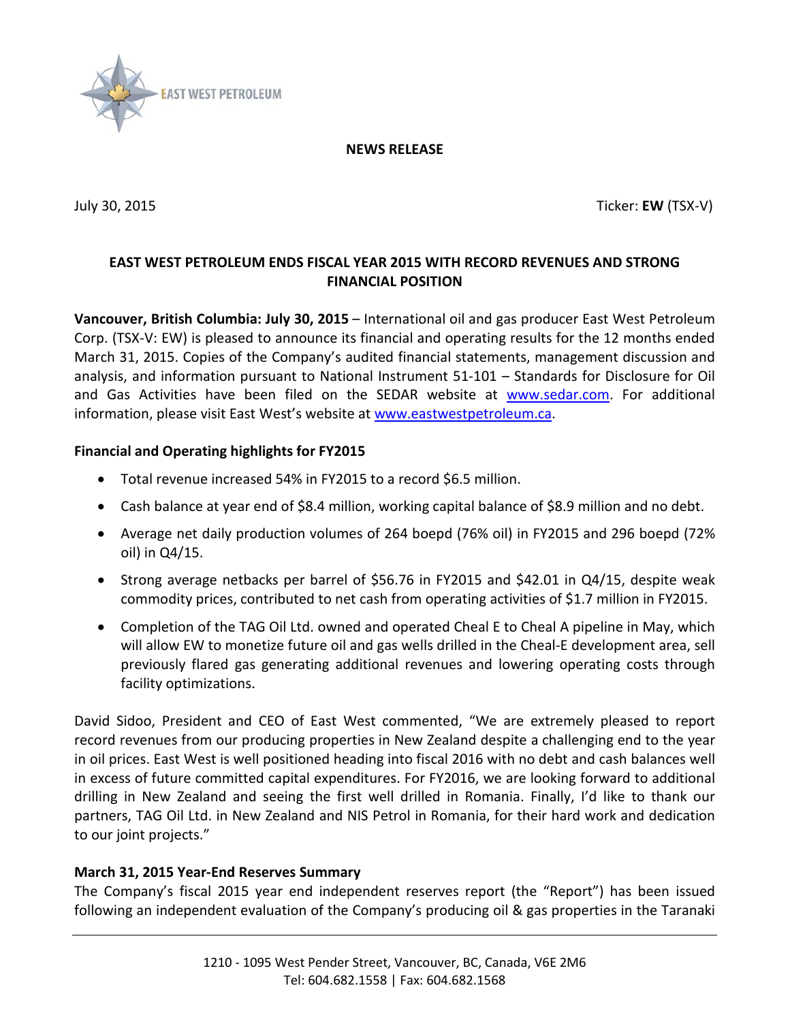

#### **NEWS RELEASE**

<span id="page-0-0"></span>

July 30, 2015 Ticker: **EW** (TSX-V)

# **EAST WEST PETROLEUM ENDS FISCAL YEAR 2015 WITH RECORD REVENUES AND STRONG FINANCIAL POSITION**

**Vancouver, British Columbia: [July 30, 2015](#page-0-0)** – International oil and gas producer East West Petroleum Corp. (TSX-V: EW) is pleased to announce its financial and operating results for the 12 months ended March 31, 2015. Copies of the Company's audited financial statements, management discussion and analysis, and information pursuant to National Instrument 51-101 – Standards for Disclosure for Oil and Gas Activities have been filed on the SEDAR website at [www.sedar.com.](http://www.sedar.com/) For additional information, please visit East West's website at [www.eastwestpetroleum.ca.](http://www.eastwestpetroleum.ca/)

## **Financial and Operating highlights for FY2015**

- Total revenue increased 54% in FY2015 to a record \$6.5 million.
- Cash balance at year end of \$8.4 million, working capital balance of \$8.9 million and no debt.
- Average net daily production volumes of 264 boepd (76% oil) in FY2015 and 296 boepd (72% oil) in Q4/15.
- Strong average netbacks per barrel of \$56.76 in FY2015 and \$42.01 in Q4/15, despite weak commodity prices, contributed to net cash from operating activities of \$1.7 million in FY2015.
- Completion of the TAG Oil Ltd. owned and operated Cheal E to Cheal A pipeline in May, which will allow EW to monetize future oil and gas wells drilled in the Cheal-E development area, sell previously flared gas generating additional revenues and lowering operating costs through facility optimizations.

David Sidoo, President and CEO of East West commented, "We are extremely pleased to report record revenues from our producing properties in New Zealand despite a challenging end to the year in oil prices. East West is well positioned heading into fiscal 2016 with no debt and cash balances well in excess of future committed capital expenditures. For FY2016, we are looking forward to additional drilling in New Zealand and seeing the first well drilled in Romania. Finally, I'd like to thank our partners, TAG Oil Ltd. in New Zealand and NIS Petrol in Romania, for their hard work and dedication to our joint projects."

### **March 31, 2015 Year-End Reserves Summary**

The Company's fiscal 2015 year end independent reserves report (the "Report") has been issued following an independent evaluation of the Company's producing oil & gas properties in the Taranaki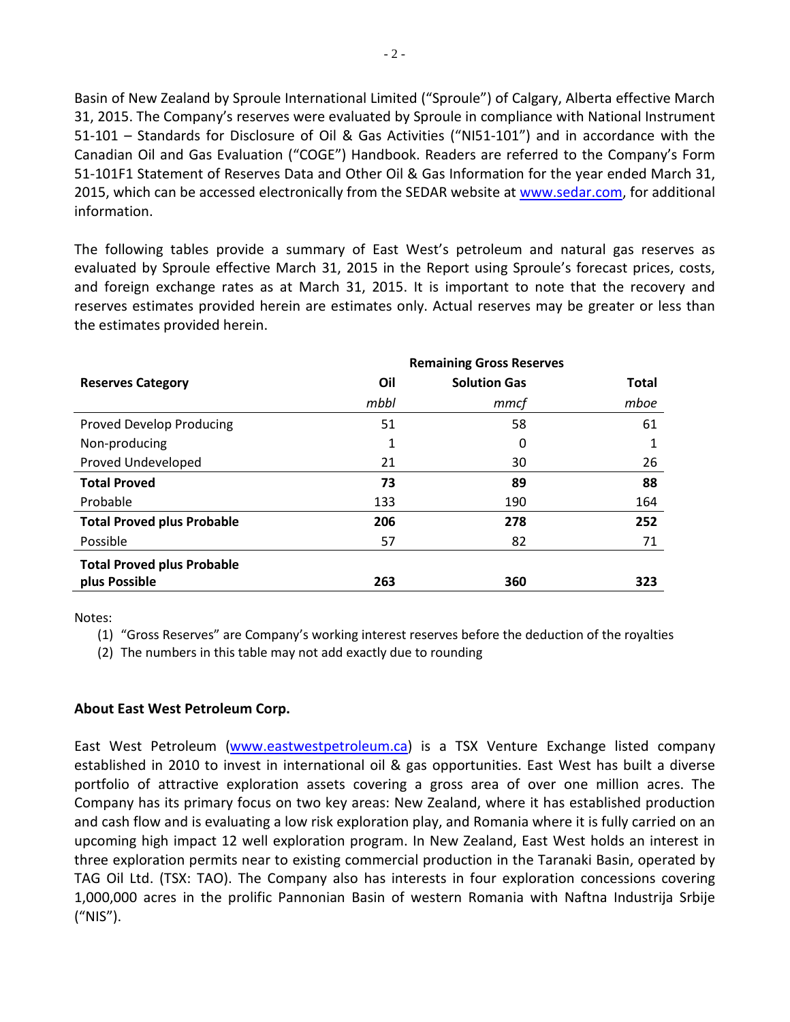Basin of New Zealand by Sproule International Limited ("Sproule") of Calgary, Alberta effective March 31, 2015. The Company's reserves were evaluated by Sproule in compliance with National Instrument 51-101 – Standards for Disclosure of Oil & Gas Activities ("NI51-101") and in accordance with the Canadian Oil and Gas Evaluation ("COGE") Handbook. Readers are referred to the Company's Form 51-101F1 Statement of Reserves Data and Other Oil & Gas Information for the year ended March 31, 2015, which can be accessed electronically from the SEDAR website at [www.sedar.com,](http://www.sedar.com/) for additional information.

The following tables provide a summary of East West's petroleum and natural gas reserves as evaluated by Sproule effective March 31, 2015 in the Report using Sproule's forecast prices, costs, and foreign exchange rates as at March 31, 2015. It is important to note that the recovery and reserves estimates provided herein are estimates only. Actual reserves may be greater or less than the estimates provided herein.

|                                   | <b>Remaining Gross Reserves</b> |                     |              |
|-----------------------------------|---------------------------------|---------------------|--------------|
| <b>Reserves Category</b>          | Oil                             | <b>Solution Gas</b> | <b>Total</b> |
|                                   | mbbl                            | mmcf                | mboe         |
| <b>Proved Develop Producing</b>   | 51                              | 58                  | 61           |
| Non-producing                     | 1                               | 0                   |              |
| <b>Proved Undeveloped</b>         | 21                              | 30                  | 26           |
| <b>Total Proved</b>               | 73                              | 89                  | 88           |
| Probable                          | 133                             | 190                 | 164          |
| <b>Total Proved plus Probable</b> | 206                             | 278                 | 252          |
| Possible                          | 57                              | 82                  | 71           |
| <b>Total Proved plus Probable</b> |                                 |                     |              |
| plus Possible                     | 263                             | 360                 | 323          |

Notes:

(1) "Gross Reserves" are Company's working interest reserves before the deduction of the royalties

(2) The numbers in this table may not add exactly due to rounding

### **About East West Petroleum Corp.**

East West Petroleum [\(www.eastwestpetroleum.ca\)](http://www.eastwestpetroleum.ca/) is a TSX Venture Exchange listed company established in 2010 to invest in international oil & gas opportunities. East West has built a diverse portfolio of attractive exploration assets covering a gross area of over one million acres. The Company has its primary focus on two key areas: New Zealand, where it has established production and cash flow and is evaluating a low risk exploration play, and Romania where it is fully carried on an upcoming high impact 12 well exploration program. In New Zealand, East West holds an interest in three exploration permits near to existing commercial production in the Taranaki Basin, operated by TAG Oil Ltd. (TSX: TAO). The Company also has interests in four exploration concessions covering 1,000,000 acres in the prolific Pannonian Basin of western Romania with Naftna Industrija Srbije ("NIS").